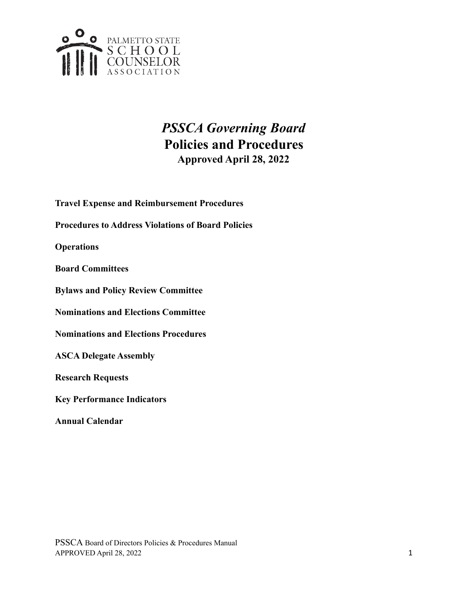

#### *PSSCA Governing Board* **Policies and Procedures Approved April 28, 2022**

- **Travel Expense and Reimbursement Procedures**
- **Procedures to Address Violations of Board Policies**

**Operations**

**Board Committees**

**Bylaws and Policy Review Committee**

**Nominations and Elections Committee**

**Nominations and Elections Procedures**

**ASCA Delegate Assembly**

**Research Requests**

**Key Performance Indicators**

**Annual Calendar**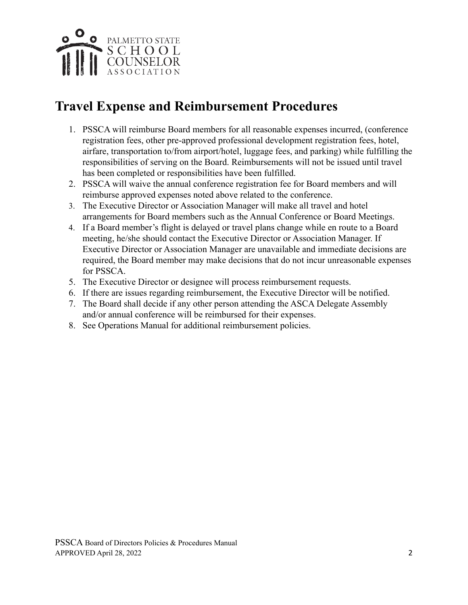

## **Travel Expense and Reimbursement Procedures**

- 1. PSSCA will reimburse Board members for all reasonable expenses incurred, (conference registration fees, other pre-approved professional development registration fees, hotel, airfare, transportation to/from airport/hotel, luggage fees, and parking) while fulfilling the responsibilities of serving on the Board. Reimbursements will not be issued until travel has been completed or responsibilities have been fulfilled.
- 2. PSSCA will waive the annual conference registration fee for Board members and will reimburse approved expenses noted above related to the conference.
- 3. The Executive Director or Association Manager will make all travel and hotel arrangements for Board members such as the Annual Conference or Board Meetings.
- 4. If a Board member's flight is delayed or travel plans change while en route to a Board meeting, he/she should contact the Executive Director or Association Manager. If Executive Director or Association Manager are unavailable and immediate decisions are required, the Board member may make decisions that do not incur unreasonable expenses for PSSCA.
- 5. The Executive Director or designee will process reimbursement requests.
- 6. If there are issues regarding reimbursement, the Executive Director will be notified.
- 7. The Board shall decide if any other person attending the ASCA Delegate Assembly and/or annual conference will be reimbursed for their expenses.
- 8. See Operations Manual for additional reimbursement policies.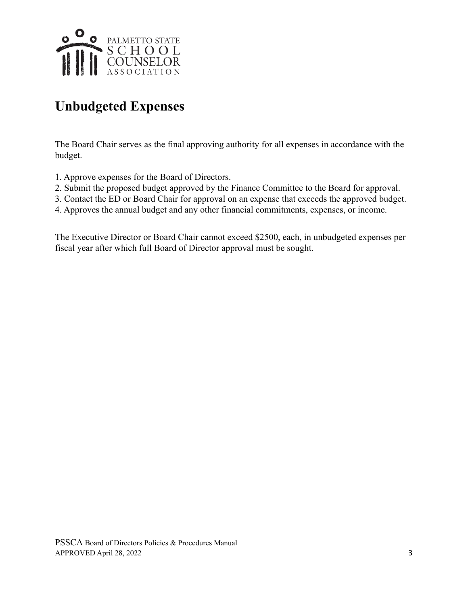

# **Unbudgeted Expenses**

The Board Chair serves as the final approving authority for all expenses in accordance with the budget.

- 1. Approve expenses for the Board of Directors.
- 2. Submit the proposed budget approved by the Finance Committee to the Board for approval.
- 3. Contact the ED or Board Chair for approval on an expense that exceeds the approved budget.
- 4. Approves the annual budget and any other financial commitments, expenses, or income.

The Executive Director or Board Chair cannot exceed \$2500, each, in unbudgeted expenses per fiscal year after which full Board of Director approval must be sought.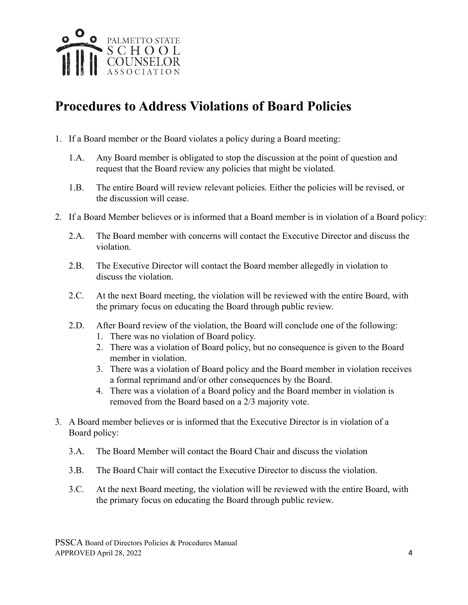

## **Procedures to Address Violations of Board Policies**

- 1. If a Board member or the Board violates a policy during a Board meeting:
	- 1.A. Any Board member is obligated to stop the discussion at the point of question and request that the Board review any policies that might be violated.
	- 1.B. The entire Board will review relevant policies. Either the policies will be revised, or the discussion will cease.
- 2. If a Board Member believes or is informed that a Board member is in violation of a Board policy:
	- 2.A. The Board member with concerns will contact the Executive Director and discuss the violation.
	- 2.B. The Executive Director will contact the Board member allegedly in violation to discuss the violation.
	- 2.C. At the next Board meeting, the violation will be reviewed with the entire Board, with the primary focus on educating the Board through public review.
	- 2.D. After Board review of the violation, the Board will conclude one of the following:
		- 1. There was no violation of Board policy.
		- 2. There was a violation of Board policy, but no consequence is given to the Board member in violation.
		- 3. There was a violation of Board policy and the Board member in violation receives a formal reprimand and/or other consequences by the Board.
		- 4. There was a violation of a Board policy and the Board member in violation is removed from the Board based on a 2/3 majority vote.
- 3. A Board member believes or is informed that the Executive Director is in violation of a Board policy:
	- 3.A. The Board Member will contact the Board Chair and discuss the violation
	- 3.B. The Board Chair will contact the Executive Director to discuss the violation.
	- 3.C. At the next Board meeting, the violation will be reviewed with the entire Board, with the primary focus on educating the Board through public review.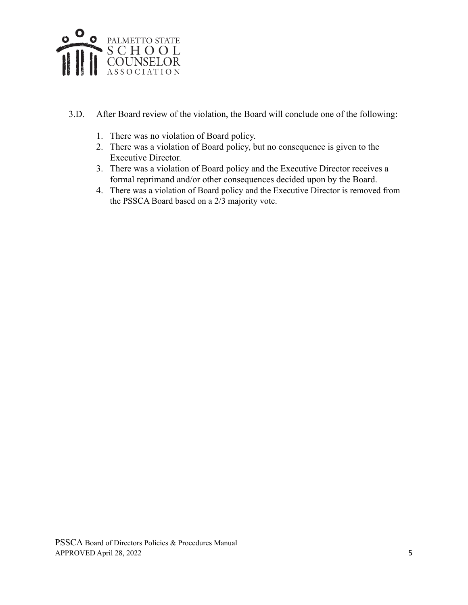

- 3.D. After Board review of the violation, the Board will conclude one of the following:
	- 1. There was no violation of Board policy.
	- 2. There was a violation of Board policy, but no consequence is given to the Executive Director.
	- 3. There was a violation of Board policy and the Executive Director receives a formal reprimand and/or other consequences decided upon by the Board.
	- 4. There was a violation of Board policy and the Executive Director is removed from the PSSCA Board based on a 2/3 majority vote.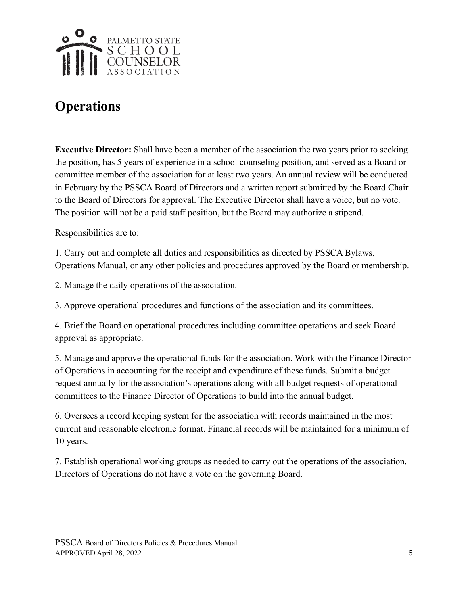

# **Operations**

**Executive Director:** Shall have been a member of the association the two years prior to seeking the position, has 5 years of experience in a school counseling position, and served as a Board or committee member of the association for at least two years. An annual review will be conducted in February by the PSSCA Board of Directors and a written report submitted by the Board Chair to the Board of Directors for approval. The Executive Director shall have a voice, but no vote. The position will not be a paid staff position, but the Board may authorize a stipend.

Responsibilities are to:

1. Carry out and complete all duties and responsibilities as directed by PSSCA Bylaws, Operations Manual, or any other policies and procedures approved by the Board or membership.

2. Manage the daily operations of the association.

3. Approve operational procedures and functions of the association and its committees.

4. Brief the Board on operational procedures including committee operations and seek Board approval as appropriate.

5. Manage and approve the operational funds for the association. Work with the Finance Director of Operations in accounting for the receipt and expenditure of these funds. Submit a budget request annually for the association's operations along with all budget requests of operational committees to the Finance Director of Operations to build into the annual budget.

6. Oversees a record keeping system for the association with records maintained in the most current and reasonable electronic format. Financial records will be maintained for a minimum of 10 years.

7. Establish operational working groups as needed to carry out the operations of the association. Directors of Operations do not have a vote on the governing Board.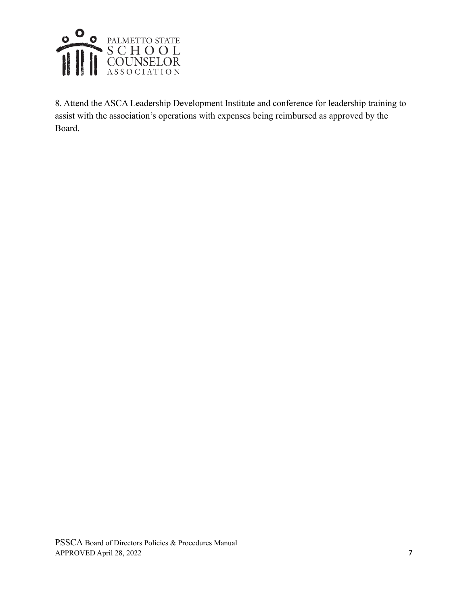

8. Attend the ASCA Leadership Development Institute and conference for leadership training to assist with the association's operations with expenses being reimbursed as approved by the Board.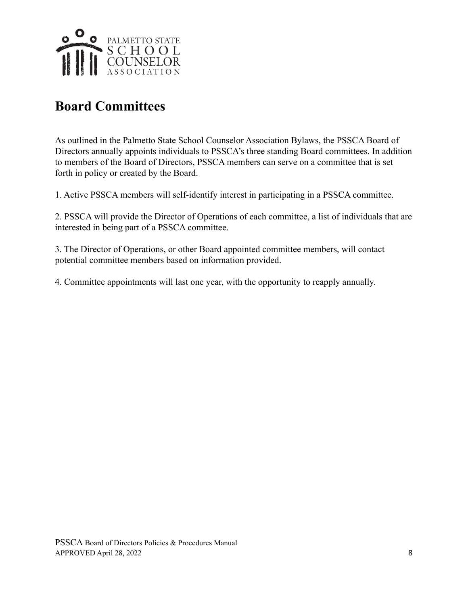

# **Board Committees**

As outlined in the Palmetto State School Counselor Association Bylaws, the PSSCA Board of Directors annually appoints individuals to PSSCA's three standing Board committees. In addition to members of the Board of Directors, PSSCA members can serve on a committee that is set forth in policy or created by the Board.

1. Active PSSCA members will self-identify interest in participating in a PSSCA committee.

2. PSSCA will provide the Director of Operations of each committee, a list of individuals that are interested in being part of a PSSCA committee.

3. The Director of Operations, or other Board appointed committee members, will contact potential committee members based on information provided.

4. Committee appointments will last one year, with the opportunity to reapply annually.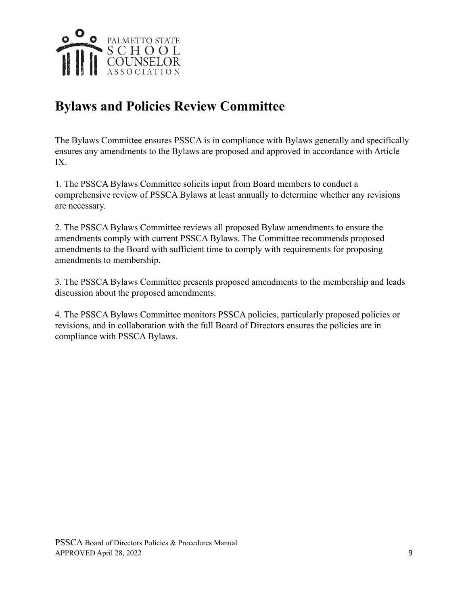

## **Bylaws and Policies Review Committee**

The Bylaws Committee ensures PSSCA is in compliance with Bylaws generally and specifically ensures any amendments to the Bylaws are proposed and approved in accordance with Article IX.

1. The PSSCA Bylaws Committee solicits input from Board members to conduct a comprehensive review of PSSCA Bylaws at least annually to determine whether any revisions are necessary.

2. The PSSCA Bylaws Committee reviews all proposed Bylaw amendments to ensure the amendments comply with current PSSCA Bylaws. The Committee recommends proposed amendments to the Board with sufficient time to comply with requirements for proposing amendments to membership.

3. The PSSCA Bylaws Committee presents proposed amendments to the membership and leads discussion about the proposed amendments.

4. The PSSCA Bylaws Committee monitors PSSCA policies, particularly proposed policies or revisions, and in collaboration with the full Board of Directors ensures the policies are in compliance with PSSCA Bylaws.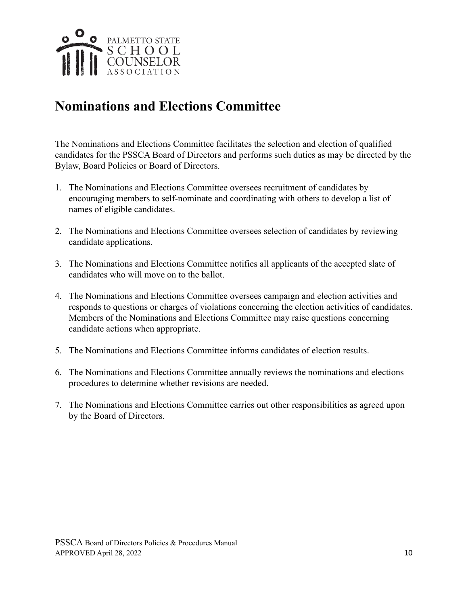

#### **Nominations and Elections Committee**

The Nominations and Elections Committee facilitates the selection and election of qualified candidates for the PSSCA Board of Directors and performs such duties as may be directed by the Bylaw, Board Policies or Board of Directors.

- 1. The Nominations and Elections Committee oversees recruitment of candidates by encouraging members to self-nominate and coordinating with others to develop a list of names of eligible candidates.
- 2. The Nominations and Elections Committee oversees selection of candidates by reviewing candidate applications.
- 3. The Nominations and Elections Committee notifies all applicants of the accepted slate of candidates who will move on to the ballot.
- 4. The Nominations and Elections Committee oversees campaign and election activities and responds to questions or charges of violations concerning the election activities of candidates. Members of the Nominations and Elections Committee may raise questions concerning candidate actions when appropriate.
- 5. The Nominations and Elections Committee informs candidates of election results.
- 6. The Nominations and Elections Committee annually reviews the nominations and elections procedures to determine whether revisions are needed.
- 7. The Nominations and Elections Committee carries out other responsibilities as agreed upon by the Board of Directors.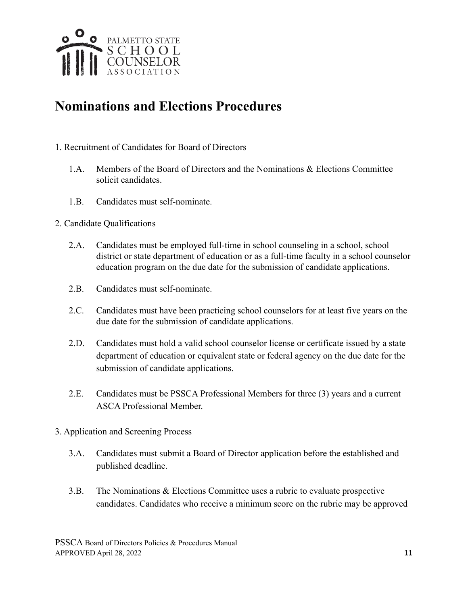

#### **Nominations and Elections Procedures**

- 1. Recruitment of Candidates for Board of Directors
	- 1.A. Members of the Board of Directors and the Nominations & Elections Committee solicit candidates.
	- 1.B. Candidates must self-nominate.
- 2. Candidate Qualifications
	- 2.A. Candidates must be employed full-time in school counseling in a school, school district or state department of education or as a full-time faculty in a school counselor education program on the due date for the submission of candidate applications.
	- 2. B. Candidates must self-nominate.
	- 2.C. Candidates must have been practicing school counselors for at least five years on the due date for the submission of candidate applications.
	- 2.D. Candidates must hold a valid school counselor license or certificate issued by a state department of education or equivalent state or federal agency on the due date for the submission of candidate applications.
	- 2.E. Candidates must be PSSCA Professional Members for three (3) years and a current ASCA Professional Member.
- 3. Application and Screening Process
	- 3.A. Candidates must submit a Board of Director application before the established and published deadline.
	- 3.B. The Nominations & Elections Committee uses a rubric to evaluate prospective candidates. Candidates who receive a minimum score on the rubric may be approved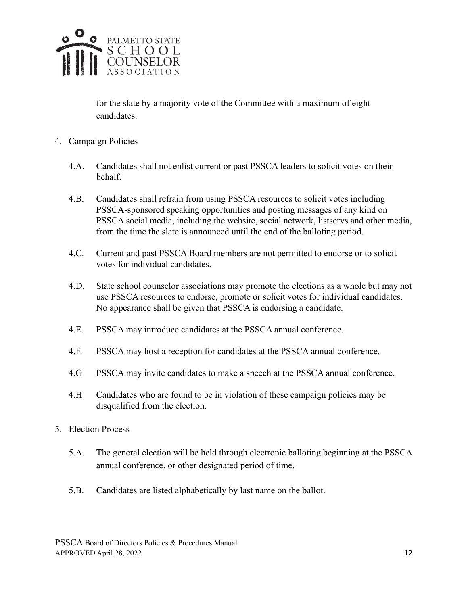

for the slate by a majority vote of the Committee with a maximum of eight candidates.

- 4. Campaign Policies
	- 4.A. Candidates shall not enlist current or past PSSCA leaders to solicit votes on their behalf.
	- 4.B. Candidates shall refrain from using PSSCA resources to solicit votes including PSSCA-sponsored speaking opportunities and posting messages of any kind on PSSCA social media, including the website, social network, listservs and other media, from the time the slate is announced until the end of the balloting period.
	- 4.C. Current and past PSSCA Board members are not permitted to endorse or to solicit votes for individual candidates.
	- 4.D. State school counselor associations may promote the elections as a whole but may not use PSSCA resources to endorse, promote or solicit votes for individual candidates. No appearance shall be given that PSSCA is endorsing a candidate.
	- 4.E. PSSCA may introduce candidates at the PSSCA annual conference.
	- 4.F. PSSCA may host a reception for candidates at the PSSCA annual conference.
	- 4.G PSSCA may invite candidates to make a speech at the PSSCA annual conference.
	- 4.H Candidates who are found to be in violation of these campaign policies may be disqualified from the election.
- 5. Election Process
	- 5.A. The general election will be held through electronic balloting beginning at the PSSCA annual conference, or other designated period of time.
	- 5.B. Candidates are listed alphabetically by last name on the ballot.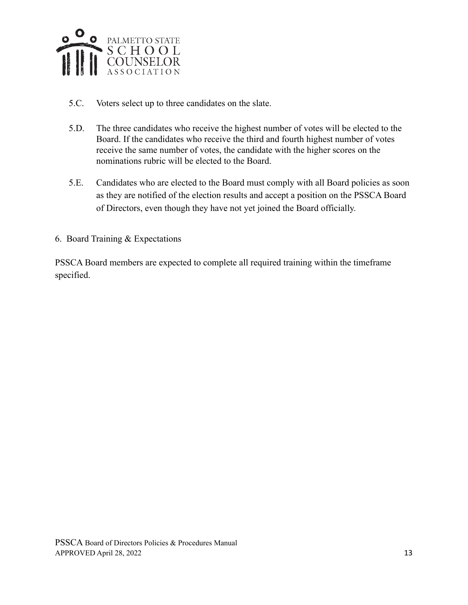

- 5.C. Voters select up to three candidates on the slate.
- 5.D. The three candidates who receive the highest number of votes will be elected to the Board. If the candidates who receive the third and fourth highest number of votes receive the same number of votes, the candidate with the higher scores on the nominations rubric will be elected to the Board.
- 5.E. Candidates who are elected to the Board must comply with all Board policies as soon as they are notified of the election results and accept a position on the PSSCA Board of Directors, even though they have not yet joined the Board officially.
- 6. Board Training & Expectations

PSSCA Board members are expected to complete all required training within the timeframe specified.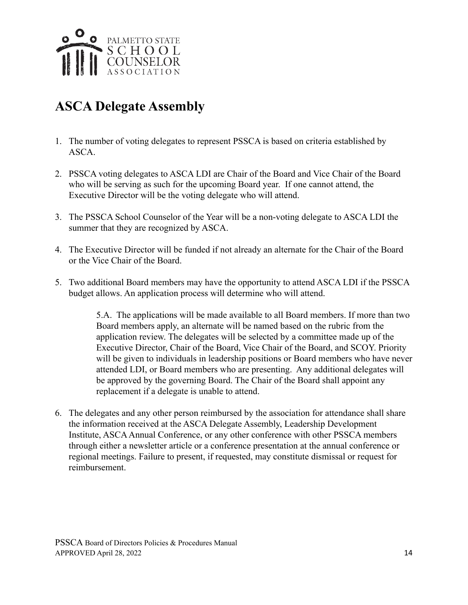

# **ASCA Delegate Assembly**

- 1. The number of voting delegates to represent PSSCA is based on criteria established by ASCA.
- 2. PSSCA voting delegates to ASCA LDI are Chair of the Board and Vice Chair of the Board who will be serving as such for the upcoming Board year. If one cannot attend, the Executive Director will be the voting delegate who will attend.
- 3. The PSSCA School Counselor of the Year will be a non-voting delegate to ASCA LDI the summer that they are recognized by ASCA.
- 4. The Executive Director will be funded if not already an alternate for the Chair of the Board or the Vice Chair of the Board.
- 5. Two additional Board members may have the opportunity to attend ASCA LDI if the PSSCA budget allows. An application process will determine who will attend.

5.A. The applications will be made available to all Board members. If more than two Board members apply, an alternate will be named based on the rubric from the application review. The delegates will be selected by a committee made up of the Executive Director, Chair of the Board, Vice Chair of the Board, and SCOY. Priority will be given to individuals in leadership positions or Board members who have never attended LDI, or Board members who are presenting. Any additional delegates will be approved by the governing Board. The Chair of the Board shall appoint any replacement if a delegate is unable to attend.

6. The delegates and any other person reimbursed by the association for attendance shall share the information received at the ASCA Delegate Assembly, Leadership Development Institute, ASCAAnnual Conference, or any other conference with other PSSCA members through either a newsletter article or a conference presentation at the annual conference or regional meetings. Failure to present, if requested, may constitute dismissal or request for reimbursement.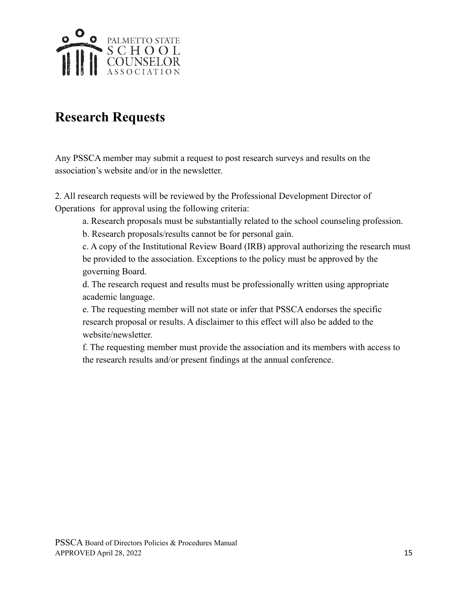

#### **Research Requests**

Any PSSCA member may submit a request to post research surveys and results on the association's website and/or in the newsletter.

2. All research requests will be reviewed by the Professional Development Director of Operations for approval using the following criteria:

- a. Research proposals must be substantially related to the school counseling profession.
- b. Research proposals/results cannot be for personal gain.

c. A copy of the Institutional Review Board (IRB) approval authorizing the research must be provided to the association. Exceptions to the policy must be approved by the governing Board.

d. The research request and results must be professionally written using appropriate academic language.

e. The requesting member will not state or infer that PSSCA endorses the specific research proposal or results. A disclaimer to this effect will also be added to the website/newsletter.

f. The requesting member must provide the association and its members with access to the research results and/or present findings at the annual conference.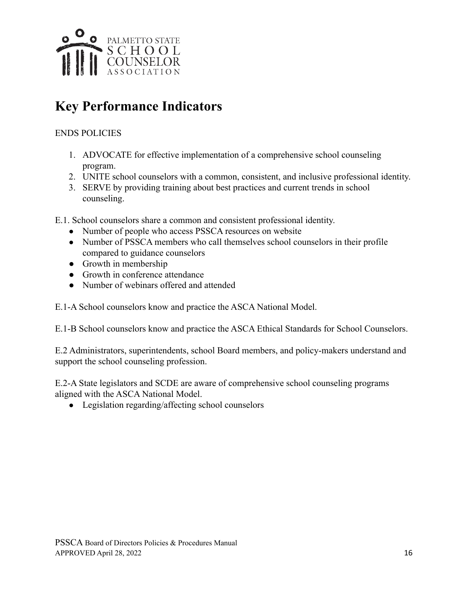

# **Key Performance Indicators**

#### ENDS POLICIES

- 1. ADVOCATE for effective implementation of a comprehensive school counseling program.
- 2. UNITE school counselors with a common, consistent, and inclusive professional identity.
- 3. SERVE by providing training about best practices and current trends in school counseling.

E.1. School counselors share a common and consistent professional identity.

- Number of people who access PSSCA resources on website
- Number of PSSCA members who call themselves school counselors in their profile compared to guidance counselors
- Growth in membership
- Growth in conference attendance
- Number of webinars offered and attended

E.1-A School counselors know and practice the ASCA National Model.

E.1-B School counselors know and practice the ASCA Ethical Standards for School Counselors.

E.2 Administrators, superintendents, school Board members, and policy-makers understand and support the school counseling profession.

E.2-A State legislators and SCDE are aware of comprehensive school counseling programs aligned with the ASCA National Model.

• Legislation regarding/affecting school counselors